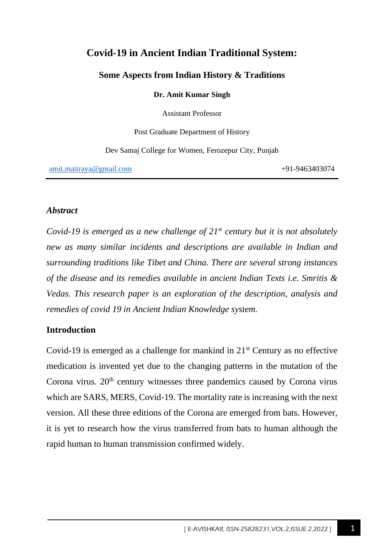# **Covid-19 in Ancient Indian Traditional System:**

### **Some Aspects from Indian History & Traditions**

**Dr. Amit Kumar Singh**

Assistant Professor

Post Graduate Department of History

Dev Samaj College for Women, Ferozepur City, Punjab

[amit.maitraya@gmail.com](mailto:amit.maitraya@gmail.com) +91-9463403074

#### *Abstract*

*Covid-19 is emerged as a new challenge of 21st century but it is not absolutely new as many similar incidents and descriptions are available in Indian and surrounding traditions like Tibet and China. There are several strong instances of the disease and its remedies available in ancient Indian Texts i.e. Smritis & Vedas. This research paper is an exploration of the description, analysis and remedies of covid 19 in Ancient Indian Knowledge system.* 

#### **Introduction**

Covid-19 is emerged as a challenge for mankind in  $21<sup>st</sup>$  Century as no effective medication is invented yet due to the changing patterns in the mutation of the Corona virus.  $20<sup>th</sup>$  century witnesses three pandemics caused by Corona virus which are SARS, MERS, Covid-19. The mortality rate is increasing with the next version. All these three editions of the Corona are emerged from bats. However, it is yet to research how the virus transferred from bats to human although the rapid human to human transmission confirmed widely.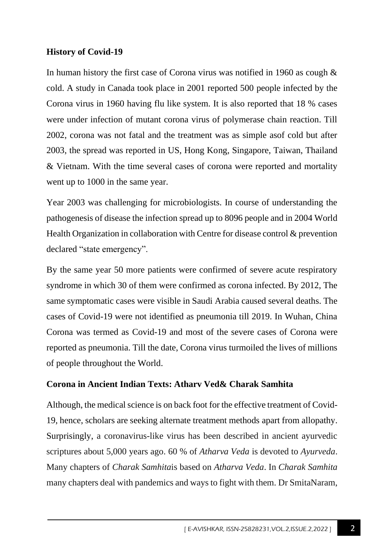## **History of Covid-19**

In human history the first case of Corona virus was notified in 1960 as cough & cold. A study in Canada took place in 2001 reported 500 people infected by the Corona virus in 1960 having flu like system. It is also reported that 18 % cases were under infection of mutant corona virus of polymerase chain reaction. Till 2002, corona was not fatal and the treatment was as simple asof cold but after 2003, the spread was reported in US, Hong Kong, Singapore, Taiwan, Thailand & Vietnam. With the time several cases of corona were reported and mortality went up to 1000 in the same year.

Year 2003 was challenging for microbiologists. In course of understanding the pathogenesis of disease the infection spread up to 8096 people and in 2004 World Health Organization in collaboration with Centre for disease control & prevention declared "state emergency".

By the same year 50 more patients were confirmed of severe acute respiratory syndrome in which 30 of them were confirmed as corona infected. By 2012, The same symptomatic cases were visible in Saudi Arabia caused several deaths. The cases of Covid-19 were not identified as pneumonia till 2019. In Wuhan, China Corona was termed as Covid-19 and most of the severe cases of Corona were reported as pneumonia. Till the date, Corona virus turmoiled the lives of millions of people throughout the World.

### **Corona in Ancient Indian Texts: Atharv Ved& Charak Samhita**

Although, the medical science is on back foot for the effective treatment of Covid-19, hence, scholars are seeking alternate treatment methods apart from allopathy. Surprisingly, a coronavirus-like virus has been described in ancient ayurvedic scriptures about 5,000 years ago. 60 % of *Atharva Veda* is devoted to *Ayurveda*. Many chapters of *Charak Samhita*is based on *Atharva Veda*. In *Charak Samhita* many chapters deal with pandemics and ways to fight with them. Dr SmitaNaram,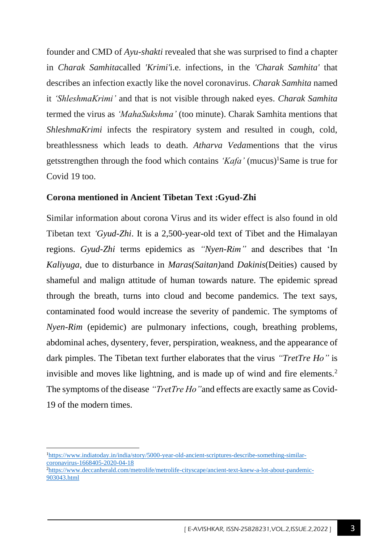founder and CMD of *Ayu-shakti* revealed that she was surprised to find a chapter in *Charak Samhita*called *'Krimi'*i.e. infections, in the *'Charak Samhita'* that describes an infection exactly like the novel coronavirus. *Charak Samhita* named it *'ShleshmaKrimi'* and that is not visible through naked eyes. *Charak Samhita* termed the virus as *'MahaSukshma'* (too minute). Charak Samhita mentions that *ShleshmaKrimi* infects the respiratory system and resulted in cough, cold, breathlessness which leads to death. *Atharva Veda*mentions that the virus getsstrengthen through the food which contains *'Kafa'* (mucus)<sup>1</sup>Same is true for Covid 19 too.

#### **Corona mentioned in Ancient Tibetan Text :Gyud-Zhi**

Similar information about corona Virus and its wider effect is also found in old Tibetan text *'Gyud-Zhi*. It is a 2,500-year-old text of Tibet and the Himalayan regions. *Gyud-Zhi* terms epidemics as *"Nyen-Rim"* and describes that 'In *Kaliyuga*, due to disturbance in *Maras(Saitan)*and *Dakinis*(Deities) caused by shameful and malign attitude of human towards nature. The epidemic spread through the breath, turns into cloud and become pandemics. The text says, contaminated food would increase the severity of pandemic. The symptoms of *Nyen-Rim* (epidemic) are pulmonary infections, cough, breathing problems, abdominal aches, dysentery, fever, perspiration, weakness, and the appearance of dark pimples. The Tibetan text further elaborates that the virus *"TretTre Ho"* is invisible and moves like lightning, and is made up of wind and fire elements.<sup>2</sup> The symptoms of the disease *"TretTre Ho"*and effects are exactly same as Covid-19 of the modern times.

<sup>&</sup>lt;sup>1</sup>[https://www.indiatoday.in/india/story/5000-year-old-ancient-scriptures-describe-something-similar](https://www.indiatoday.in/india/story/5000-year-old-ancient-scriptures-describe-something-similar-coronavirus-1668405-2020-04-18)[coronavirus-1668405-2020-04-18](https://www.indiatoday.in/india/story/5000-year-old-ancient-scriptures-describe-something-similar-coronavirus-1668405-2020-04-18)

<sup>2</sup>[https://www.deccanherald.com/metrolife/metrolife-cityscape/ancient-text-knew-a-lot-about-pandemic-](https://www.deccanherald.com/metrolife/metrolife-cityscape/ancient-text-knew-a-lot-about-pandemic-903043.html)[903043.html](https://www.deccanherald.com/metrolife/metrolife-cityscape/ancient-text-knew-a-lot-about-pandemic-903043.html)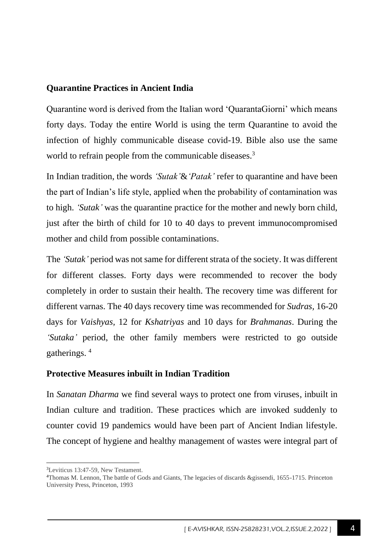#### **Quarantine Practices in Ancient India**

Quarantine word is derived from the Italian word 'QuarantaGiorni' which means forty days. Today the entire World is using the term Quarantine to avoid the infection of highly communicable disease covid-19. Bible also use the same world to refrain people from the communicable diseases.<sup>3</sup>

In Indian tradition, the words *'Sutak'*&*'Patak'* refer to quarantine and have been the part of Indian's life style, applied when the probability of contamination was to high. *'Sutak'* was the quarantine practice for the mother and newly born child, just after the birth of child for 10 to 40 days to prevent immunocompromised mother and child from possible contaminations.

The *'Sutak'* period was not same for different strata of the society. It was different for different classes. Forty days were recommended to recover the body completely in order to sustain their health. The recovery time was different for different varnas. The 40 days recovery time was recommended for *Sudras,* 16-20 days for *Vaishyas,* 12 for *Kshatriyas* and 10 days for *Brahmanas*. During the *'Sutaka'* period, the other family members were restricted to go outside gatherings. <sup>4</sup>

### **Protective Measures inbuilt in Indian Tradition**

In *Sanatan Dharma* we find several ways to protect one from viruses, inbuilt in Indian culture and tradition. These practices which are invoked suddenly to counter covid 19 pandemics would have been part of Ancient Indian lifestyle. The concept of hygiene and healthy management of wastes were integral part of

<sup>3</sup>Leviticus 13:47-59, New Testament.

<sup>4</sup>Thomas M. Lennon, The battle of Gods and Giants, The legacies of discards &gissendi, 1655-1715. Princeton University Press, Princeton, 1993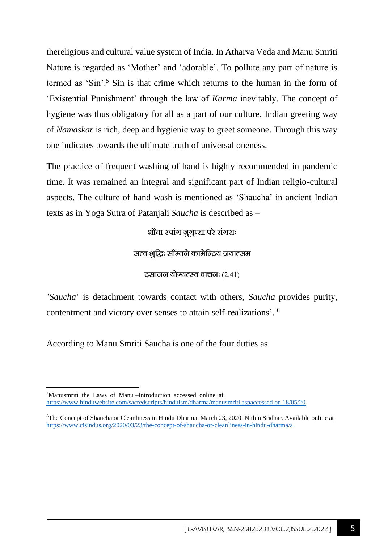thereligious and cultural value system of India. In Atharva Veda and Manu Smriti Nature is regarded as 'Mother' and 'adorable'. To pollute any part of nature is termed as 'Sin'.<sup>5</sup> Sin is that crime which returns to the human in the form of 'Existential Punishment' through the law of *Karma* inevitably. The concept of hygiene was thus obligatory for all as a part of our culture. Indian greeting way of *Namaskar* is rich, deep and hygienic way to greet someone. Through this way one indicates towards the ultimate truth of universal oneness.

The practice of frequent washing of hand is highly recommended in pandemic time. It was remained an integral and significant part of Indian religio-cultural aspects. The culture of hand wash is mentioned as 'Shaucha' in ancient Indian texts as in Yoga Sutra of Patanjali *Saucha* is described as –

शौचा स्वांग जूगुप्सा परे संगसः

सत्व शुद्धिः सौम्यने कामेन्द्रिय जयात्सम

दसानन योग्यत्स्य वाचनः (2.41)

*'Saucha*' is detachment towards contact with others, *Saucha* provides purity, contentment and victory over senses to attain self-realizations'. 6

According to Manu Smriti Saucha is one of the four duties as

<sup>5</sup>Manusmriti the Laws of Manu –Introduction accessed online at [https://www.hinduwebsite.com/sacredscripts/hinduism/dharma/manusmriti.aspaccessed on 18/05/20](https://www.hinduwebsite.com/sacredscripts/hinduism/dharma/manusmriti.aspaccessed%20on%2018/05/20)

<sup>6</sup>The Concept of Shaucha or Cleanliness in Hindu Dharma. March 23, 2020. Nithin Sridhar. Available online at <https://www.cisindus.org/2020/03/23/the-concept-of-shaucha-or-cleanliness-in-hindu-dharma/a>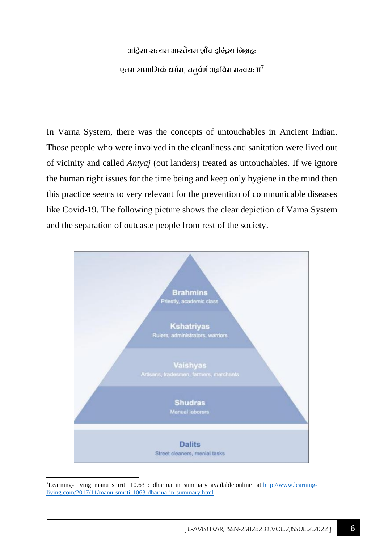#### अर्हिसा सत्यम आस्तेयम शौचं इन्द्रिय निग्रहः

### एतम सामासिकं धर्मम, चत्तूर्वर्ण अब्रविम मन्वयः II<sup>7</sup>

In Varna System, there was the concepts of untouchables in Ancient Indian. Those people who were involved in the cleanliness and sanitation were lived out of vicinity and called *Antyaj* (out landers) treated as untouchables. If we ignore the human right issues for the time being and keep only hygiene in the mind then this practice seems to very relevant for the prevention of communicable diseases like Covid-19. The following picture shows the clear depiction of Varna System and the separation of outcaste people from rest of the society.



<sup>7</sup>Learning-Living manu smriti 10.63 : dharma in summary available online at [http://www.learning](http://www.learning-living.com/2017/11/manu-smriti-1063-dharma-in-summary.html)[living.com/2017/11/manu-smriti-1063-dharma-in-summary.html](http://www.learning-living.com/2017/11/manu-smriti-1063-dharma-in-summary.html)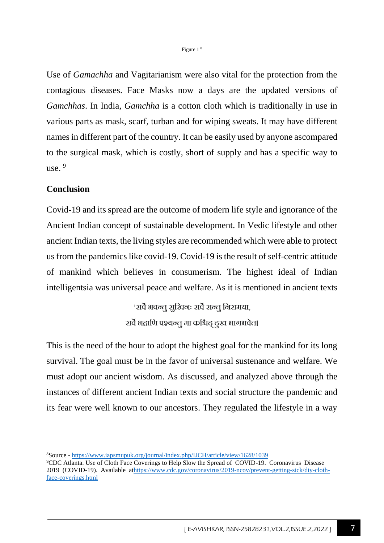Use of *Gamachha* and Vagitarianism were also vital for the protection from the contagious diseases. Face Masks now a days are the updated versions of *Gamchhas*. In India, *Gamchha* is a cotton cloth which is traditionally in use in various parts as mask, scarf, turban and for wiping sweats. It may have different names in different part of the country. It can be easily used by anyone ascompared to the surgical mask, which is costly, short of supply and has a specific way to use.  $9$ 

#### **Conclusion**

Covid-19 and its spread are the outcome of modern life style and ignorance of the Ancient Indian concept of sustainable development. In Vedic lifestyle and other ancient Indian texts, the living styles are recommended which were able to protect us from the pandemics like covid-19. Covid-19 is the result of self-centric attitude of mankind which believes in consumerism. The highest ideal of Indian intelligentsia was universal peace and welfare. As it is mentioned in ancient texts

> 'सर्वे भवन्त सरिवनः सर्वे सन्त निरामया. सर्वे भद्राणि पश्यन्तू मा कश्चिद् दृख भागभवेत।

This is the need of the hour to adopt the highest goal for the mankind for its long survival. The goal must be in the favor of universal sustenance and welfare. We must adopt our ancient wisdom. As discussed, and analyzed above through the instances of different ancient Indian texts and social structure the pandemic and its fear were well known to our ancestors. They regulated the lifestyle in a way

<sup>8</sup>Source - <https://www.iapsmupuk.org/journal/index.php/IJCH/article/view/1628/1039>

<sup>9</sup>CDC Atlanta. Use of Cloth Face Coverings to Help Slow the Spread of COVID-19. Coronavirus Disease 2019 (COVID-19). Available a[thttps://www.cdc.gov/coronavirus/2019-ncov/prevent-getting-sick/diy-cloth](https://www.cdc.gov/coronavirus/2019-ncov/prevent-getting-sick/diy-cloth-face-coverings.html)[face-coverings.html](https://www.cdc.gov/coronavirus/2019-ncov/prevent-getting-sick/diy-cloth-face-coverings.html)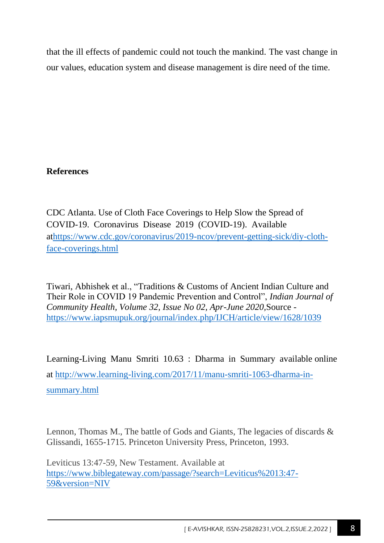that the ill effects of pandemic could not touch the mankind. The vast change in our values, education system and disease management is dire need of the time.

## **References**

CDC Atlanta. Use of Cloth Face Coverings to Help Slow the Spread of COVID-19. Coronavirus Disease 2019 (COVID-19). Available a[thttps://www.cdc.gov/coronavirus/2019-ncov/prevent-getting-sick/diy-cloth](https://www.cdc.gov/coronavirus/2019-ncov/prevent-getting-sick/diy-cloth-face-coverings.html)[face-coverings.html](https://www.cdc.gov/coronavirus/2019-ncov/prevent-getting-sick/diy-cloth-face-coverings.html)

Tiwari, Abhishek et al., "Traditions & Customs of Ancient Indian Culture and Their Role in COVID 19 Pandemic Prevention and Control", *Indian Journal of Community Health, Volume 32, Issue No 02, Apr-June 2020,*Source <https://www.iapsmupuk.org/journal/index.php/IJCH/article/view/1628/1039>

Learning-Living Manu Smriti 10.63 : Dharma in Summary available online at [http://www.learning-living.com/2017/11/manu-smriti-1063-dharma-in](http://www.learning-living.com/2017/11/manu-smriti-1063-dharma-in-summary.html)[summary.html](http://www.learning-living.com/2017/11/manu-smriti-1063-dharma-in-summary.html)

Lennon, Thomas M., The battle of Gods and Giants, The legacies of discards & Glissandi, 1655-1715. Princeton University Press, Princeton, 1993.

Leviticus 13:47-59, New Testament. Available at [https://www.biblegateway.com/passage/?search=Leviticus%2013:47-](https://www.biblegateway.com/passage/?search=Leviticus%2013:47-59&version=NIV) [59&version=NIV](https://www.biblegateway.com/passage/?search=Leviticus%2013:47-59&version=NIV)